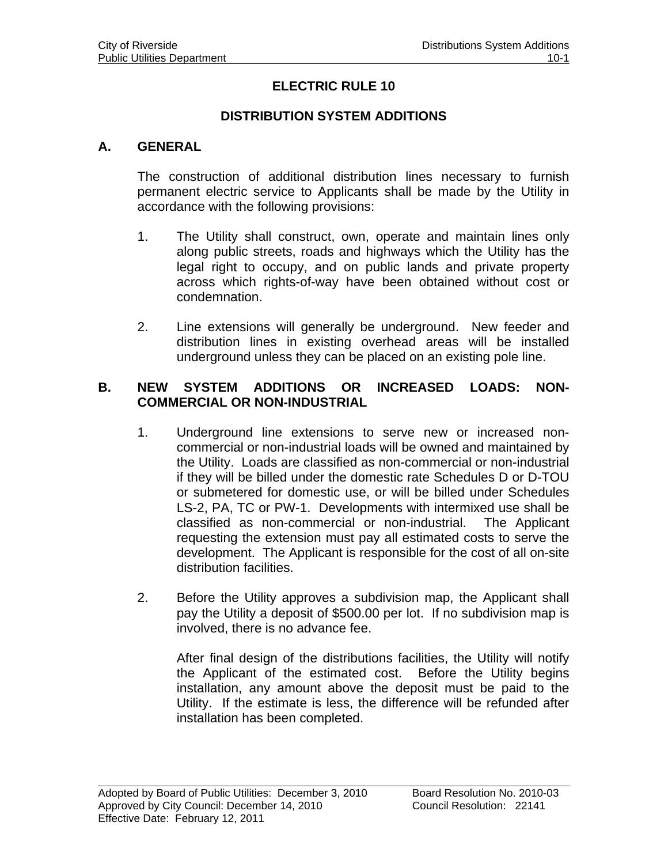## **ELECTRIC RULE 10**

#### **DISTRIBUTION SYSTEM ADDITIONS**

#### **A. GENERAL**

The construction of additional distribution lines necessary to furnish permanent electric service to Applicants shall be made by the Utility in accordance with the following provisions:

- 1. The Utility shall construct, own, operate and maintain lines only along public streets, roads and highways which the Utility has the legal right to occupy, and on public lands and private property across which rights-of-way have been obtained without cost or condemnation.
- 2. Line extensions will generally be underground. New feeder and distribution lines in existing overhead areas will be installed underground unless they can be placed on an existing pole line.

#### **B. NEW SYSTEM ADDITIONS OR INCREASED LOADS: NON-COMMERCIAL OR NON-INDUSTRIAL**

- 1. Underground line extensions to serve new or increased noncommercial or non-industrial loads will be owned and maintained by the Utility. Loads are classified as non-commercial or non-industrial if they will be billed under the domestic rate Schedules D or D-TOU or submetered for domestic use, or will be billed under Schedules LS-2, PA, TC or PW-1. Developments with intermixed use shall be classified as non-commercial or non-industrial. The Applicant requesting the extension must pay all estimated costs to serve the development. The Applicant is responsible for the cost of all on-site distribution facilities.
- 2. Before the Utility approves a subdivision map, the Applicant shall pay the Utility a deposit of \$500.00 per lot. If no subdivision map is involved, there is no advance fee.

 After final design of the distributions facilities, the Utility will notify the Applicant of the estimated cost. Before the Utility begins installation, any amount above the deposit must be paid to the Utility. If the estimate is less, the difference will be refunded after installation has been completed.

l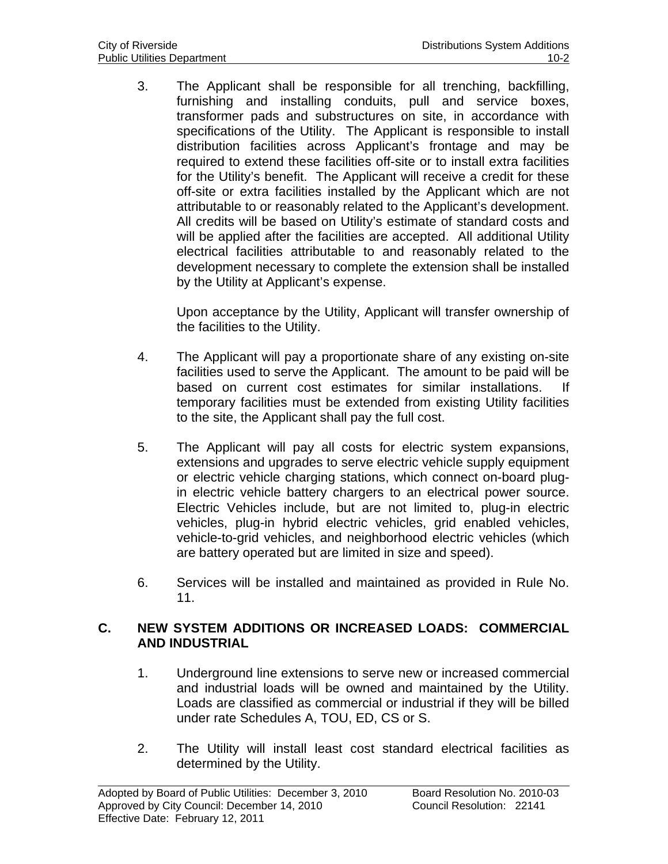3. The Applicant shall be responsible for all trenching, backfilling, furnishing and installing conduits, pull and service boxes, transformer pads and substructures on site, in accordance with specifications of the Utility. The Applicant is responsible to install distribution facilities across Applicant's frontage and may be required to extend these facilities off-site or to install extra facilities for the Utility's benefit. The Applicant will receive a credit for these off-site or extra facilities installed by the Applicant which are not attributable to or reasonably related to the Applicant's development. All credits will be based on Utility's estimate of standard costs and will be applied after the facilities are accepted. All additional Utility electrical facilities attributable to and reasonably related to the development necessary to complete the extension shall be installed by the Utility at Applicant's expense.

 Upon acceptance by the Utility, Applicant will transfer ownership of the facilities to the Utility.

- 4. The Applicant will pay a proportionate share of any existing on-site facilities used to serve the Applicant. The amount to be paid will be based on current cost estimates for similar installations. If temporary facilities must be extended from existing Utility facilities to the site, the Applicant shall pay the full cost.
- 5. The Applicant will pay all costs for electric system expansions, extensions and upgrades to serve electric vehicle supply equipment or electric vehicle charging stations, which connect on-board plugin electric vehicle battery chargers to an electrical power source. Electric Vehicles include, but are not limited to, plug-in electric vehicles, plug-in hybrid electric vehicles, grid enabled vehicles, vehicle-to-grid vehicles, and neighborhood electric vehicles (which are battery operated but are limited in size and speed).
- 6. Services will be installed and maintained as provided in Rule No. 11.

## **C. NEW SYSTEM ADDITIONS OR INCREASED LOADS: COMMERCIAL AND INDUSTRIAL**

- 1. Underground line extensions to serve new or increased commercial and industrial loads will be owned and maintained by the Utility. Loads are classified as commercial or industrial if they will be billed under rate Schedules A, TOU, ED, CS or S.
- 2. The Utility will install least cost standard electrical facilities as determined by the Utility.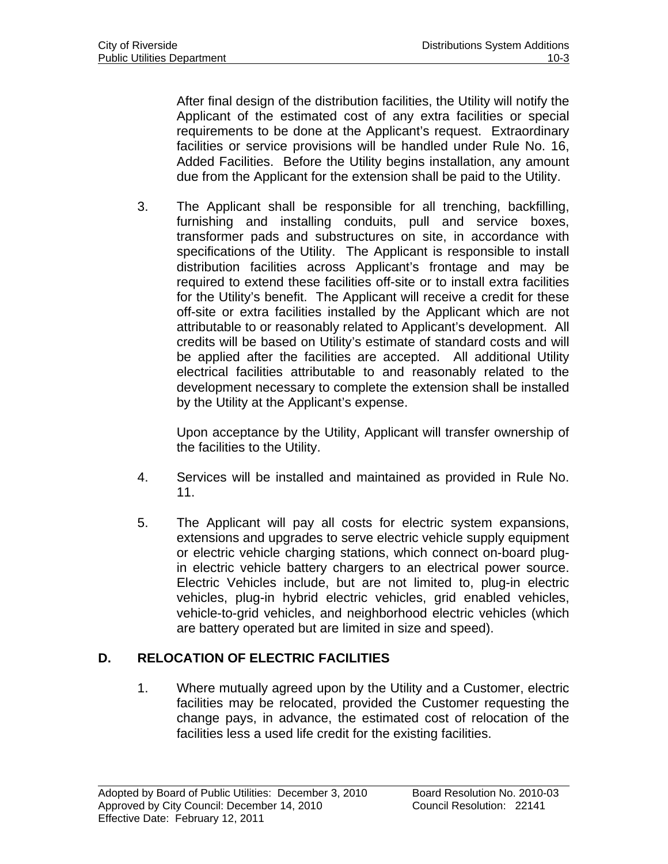After final design of the distribution facilities, the Utility will notify the Applicant of the estimated cost of any extra facilities or special requirements to be done at the Applicant's request. Extraordinary facilities or service provisions will be handled under Rule No. 16, Added Facilities. Before the Utility begins installation, any amount due from the Applicant for the extension shall be paid to the Utility.

3. The Applicant shall be responsible for all trenching, backfilling, furnishing and installing conduits, pull and service boxes, transformer pads and substructures on site, in accordance with specifications of the Utility. The Applicant is responsible to install distribution facilities across Applicant's frontage and may be required to extend these facilities off-site or to install extra facilities for the Utility's benefit. The Applicant will receive a credit for these off-site or extra facilities installed by the Applicant which are not attributable to or reasonably related to Applicant's development. All credits will be based on Utility's estimate of standard costs and will be applied after the facilities are accepted. All additional Utility electrical facilities attributable to and reasonably related to the development necessary to complete the extension shall be installed by the Utility at the Applicant's expense.

 Upon acceptance by the Utility, Applicant will transfer ownership of the facilities to the Utility.

- 4. Services will be installed and maintained as provided in Rule No. 11.
- 5. The Applicant will pay all costs for electric system expansions, extensions and upgrades to serve electric vehicle supply equipment or electric vehicle charging stations, which connect on-board plugin electric vehicle battery chargers to an electrical power source. Electric Vehicles include, but are not limited to, plug-in electric vehicles, plug-in hybrid electric vehicles, grid enabled vehicles, vehicle-to-grid vehicles, and neighborhood electric vehicles (which are battery operated but are limited in size and speed).

# **D. RELOCATION OF ELECTRIC FACILITIES**

1. Where mutually agreed upon by the Utility and a Customer, electric facilities may be relocated, provided the Customer requesting the change pays, in advance, the estimated cost of relocation of the facilities less a used life credit for the existing facilities.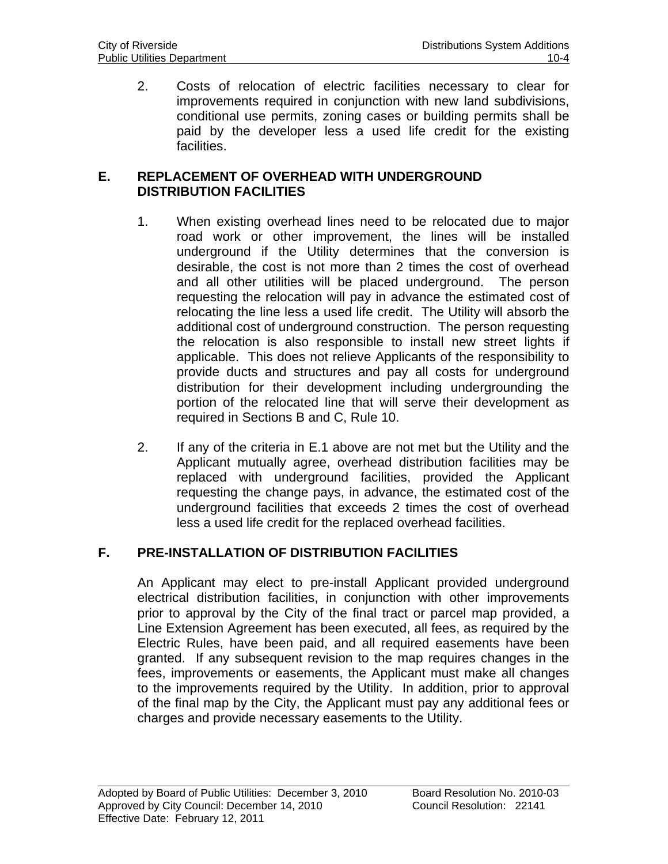2. Costs of relocation of electric facilities necessary to clear for improvements required in conjunction with new land subdivisions, conditional use permits, zoning cases or building permits shall be paid by the developer less a used life credit for the existing facilities.

### **E. REPLACEMENT OF OVERHEAD WITH UNDERGROUND DISTRIBUTION FACILITIES**

- 1. When existing overhead lines need to be relocated due to major road work or other improvement, the lines will be installed underground if the Utility determines that the conversion is desirable, the cost is not more than 2 times the cost of overhead and all other utilities will be placed underground. The person requesting the relocation will pay in advance the estimated cost of relocating the line less a used life credit. The Utility will absorb the additional cost of underground construction. The person requesting the relocation is also responsible to install new street lights if applicable. This does not relieve Applicants of the responsibility to provide ducts and structures and pay all costs for underground distribution for their development including undergrounding the portion of the relocated line that will serve their development as required in Sections B and C, Rule 10.
- 2. If any of the criteria in E.1 above are not met but the Utility and the Applicant mutually agree, overhead distribution facilities may be replaced with underground facilities, provided the Applicant requesting the change pays, in advance, the estimated cost of the underground facilities that exceeds 2 times the cost of overhead less a used life credit for the replaced overhead facilities.

# **F. PRE-INSTALLATION OF DISTRIBUTION FACILITIES**

An Applicant may elect to pre-install Applicant provided underground electrical distribution facilities, in conjunction with other improvements prior to approval by the City of the final tract or parcel map provided, a Line Extension Agreement has been executed, all fees, as required by the Electric Rules, have been paid, and all required easements have been granted. If any subsequent revision to the map requires changes in the fees, improvements or easements, the Applicant must make all changes to the improvements required by the Utility. In addition, prior to approval of the final map by the City, the Applicant must pay any additional fees or charges and provide necessary easements to the Utility.